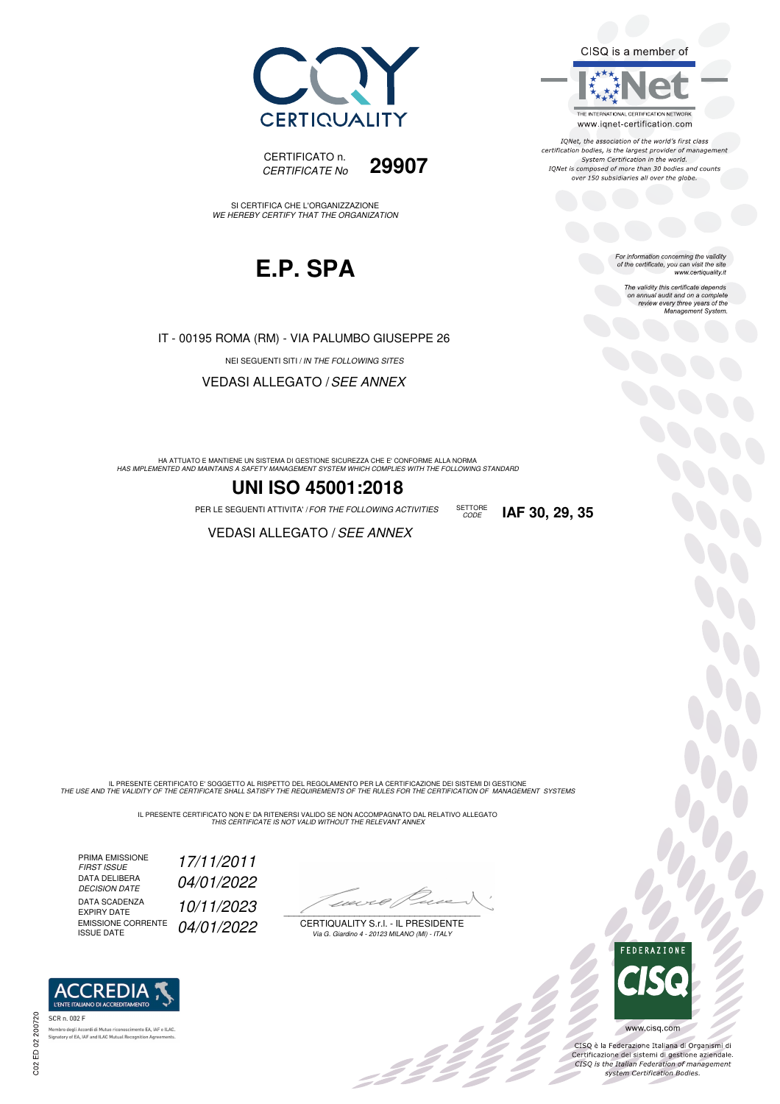



SI CERTIFICA CHE L'ORGANIZZAZIONE WE HEREBY CERTIFY THAT THE ORGANIZATION



IT - 00195 ROMA (RM) - VIA PALUMBO GIUSEPPE 26

NEI SEGUENTI SITI / IN THE FOLLOWING SITES

VEDASI ALLEGATO /SEE ANNEX

HA ATTUATO E MANTIENE UN SISTEMA DI GESTIONE SICUREZZA CHE E' CONFORME ALLA NORMA<br>HAS IMPLEMENTED AND MAINTAINS A SAFETY MANAGEMENT SYSTEM WHICH COMPLIES WITH THE FOLLOWING STANDARD

#### **UNI ISO 45001:2018**

PER LE SEGUENTI ATTIVITA' / FOR THE FOLLOWING ACTIVITIES SETTORE **IAF 30, 29, 35** 

**VEDASI ALLEGATO / SEE ANNEX** 

IL PRESENTE CERTIFICATO E' SOGGETTO AL RISPETTO DEL REGOLAMENTO PER LA CERTIFICAZIONE DEI SISTEMI DI GESTIONE<br>THE USE AND THE VALIDITY OF THE CERTIFICATE SHALL SATISFY THE REQUIREMENTS OF THE RULES FOR THE CERTIFICATION OF

IL PRESENTE CERTIFICATO NON E' DA RITENERSI VALIDO SE NON ACCOMPAGNATO DAL RELATIVO ALLEGATO<br>*THIS CERTIFICATE IS NOT VALID WITHOUT THE RELEVANT ANNEX* 

PRIMA EMISSIONE<br>FIRST ISSUE FIRST ISSUE 17/11/2011 DATA DELIBERA<br>DECISION DATE 04/01/2022 DATA SCADENZA<br>EXPIRY DATE EXPIRY DATE 10/11/2023 EMISSIONE CORRENTE EMISSIONE CORRENTE 04/01/2022

**REDIA** 

ento EA, IAF e ILAC

 $1021 + 4$  $\overline{\phantom{a}}$ 

CERTIQUALITY S.r.l. - IL PRESIDENTE Via G. Giardino 4 - 20123 MILANO (MI) - ITALY

, 3 î.H



**OO** 

CISQ è la Federazione Italiana di Organismi di Certificazione dei sistemi di gestione aziendale.<br>CISQ is the Italian Federation of management

system Certification Bodies.

SETTORE<br>CODE

For information concerning the validity<br>of the certificate, you can visit the site<br>www.certiquality.it

CISQ is a member of

THE INTERNATIONAL CERTIFICATION NETWORK

www.iqnet-certification.com IONet, the association of the world's first class certification bodies, is the largest provider of management System Certification in the world. IQNet is composed of more than 30 bodies and counts over 150 subsidiaries all over the globe.

> The validity this certificate depends on annual audit and on a complete review every three years of the Management System.



**ACC** 

Memb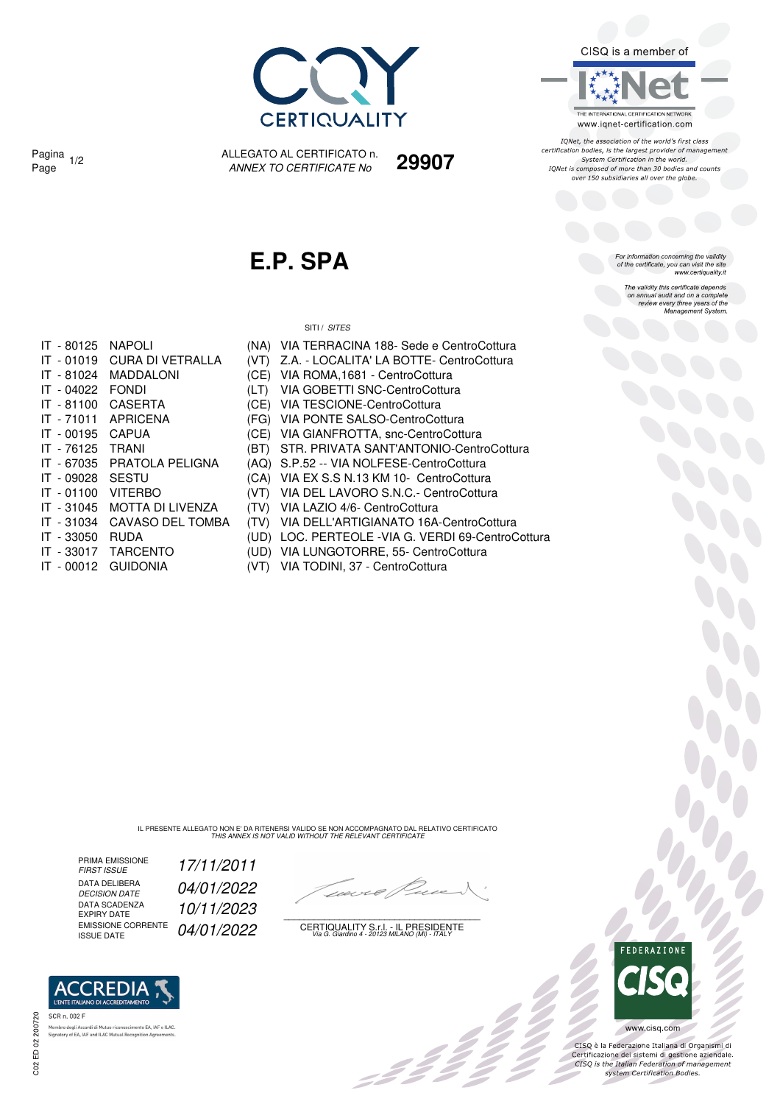

CISQ is a member of

THE INTERNATIONAL CERTIFICATION NETWORK www.iqnet-certification.com

IONet, the association of the world's first class reflect, the association of the world's first class<br>certification bodies, is the largest provider of management<br>System Certification in the world. IQNet is composed of more than 30 bodies and counts<br>over 150 subsidiaries all over the globe.

For information concerning the validity<br>of the certificate, you can visit the site<br>www.certiquality.it

The validity this certificate depends<br>on annual audit and on a complete review every three years of the<br>Management System.

Pagina <sub>1/2</sub>

ALLEGATO AL CERTIFICATO n. ANNEX TO CERTIFICATE No Page 1/2 **29907**

## **E.P. SPA**

SITI / SITES

| IT - 80125 | <b>NAPOLI</b>           |       | (NA) VIA TERRACINA 188- Sede e CentroCottura      |
|------------|-------------------------|-------|---------------------------------------------------|
| IT - 01019 | CURA DI VETRALLA        | (VT)  | Z.A. - LOCALITA' LA BOTTE- CentroCottura          |
| IT - 81024 | <b>MADDALONI</b>        | (CE)  | VIA ROMA, 1681 - CentroCottura                    |
| IT - 04022 | <b>FONDI</b>            | (LT)  | VIA GOBETTI SNC-CentroCottura                     |
| IT - 81100 | <b>CASERTA</b>          |       | (CE) VIA TESCIONE-CentroCottura                   |
| IT - 71011 | <b>APRICENA</b>         |       | (FG) VIA PONTE SALSO-CentroCottura                |
| IT - 00195 | <b>CAPUA</b>            |       | (CE) VIA GIANFROTTA, snc-CentroCottura            |
| IT - 76125 | <b>TRANI</b>            | (BT). | STR. PRIVATA SANT'ANTONIO-CentroCottura           |
| IT - 67035 | PRATOLA PELIGNA         |       | (AQ) S.P.52 -- VIA NOLFESE-CentroCottura          |
| IT - 09028 | SESTU                   |       | (CA) VIA EX S.S N.13 KM 10- CentroCottura         |
| IT - 01100 | <b>VITERBO</b>          | (VT)  | VIA DEL LAVORO S.N.C.- CentroCottura              |
| IT - 31045 | <b>MOTTA DI LIVENZA</b> | (TV)  | VIA LAZIO 4/6- CentroCottura                      |
| IT - 31034 | CAVASO DEL TOMBA        | (TV)  | VIA DELL'ARTIGIANATO 16A-CentroCottura            |
| IT - 33050 | <b>RUDA</b>             |       | (UD) LOC. PERTEOLE -VIA G. VERDI 69-CentroCottura |
| IT - 33017 | <b>TARCENTO</b>         |       | (UD) VIA LUNGOTORRE, 55- CentroCottura            |
| IT - 00012 | <b>GUIDONIA</b>         | (VT)  | VIA TODINI, 37 - CentroCottura                    |

IL PRESENTE ALLEGATO NON E' DA RITENERSI VALIDO SE NON ACCOMPAGNATO DAL RELATIVO CERTIFICATO<br>*THIS ANNEX IS NOT VALID WITHOUT THE RELEVANT CERTIFICATE* 

PRIMA EMISSIONE<br>FIRST ISSUE DATA DELIBERA<br>DECISION DATE DATA SCADENZA<br>EXPIRY DATE DATA SCADENZA 10/11/2023<br>EXPIRY DATE 10/11/2023

FIRST ISSUE 17/11/2011 04/01/2022

 $\mathscr{L}$ 

EMISSIONE CORRENTE  $\,\,\rm 04/01/2022\qquad \qquad \, \, \rm CERTIQUALITY \, S.r.l.$  - IL PRESIDENTE<br>ISSUE DATE



CISQ è la Federazione Italiana di Organismi di Certificazione dei sistemi di gestione aziendale.<br>CISQ is the Italian Federation of management system Certification Bodies.



.<br>Membro degli Accordi di Mutuo riconoscimento EA, IAF e<br>Signatory of EA, IAF and ILAC Mutual Recognition Agreer nento EA, IAF e ILAC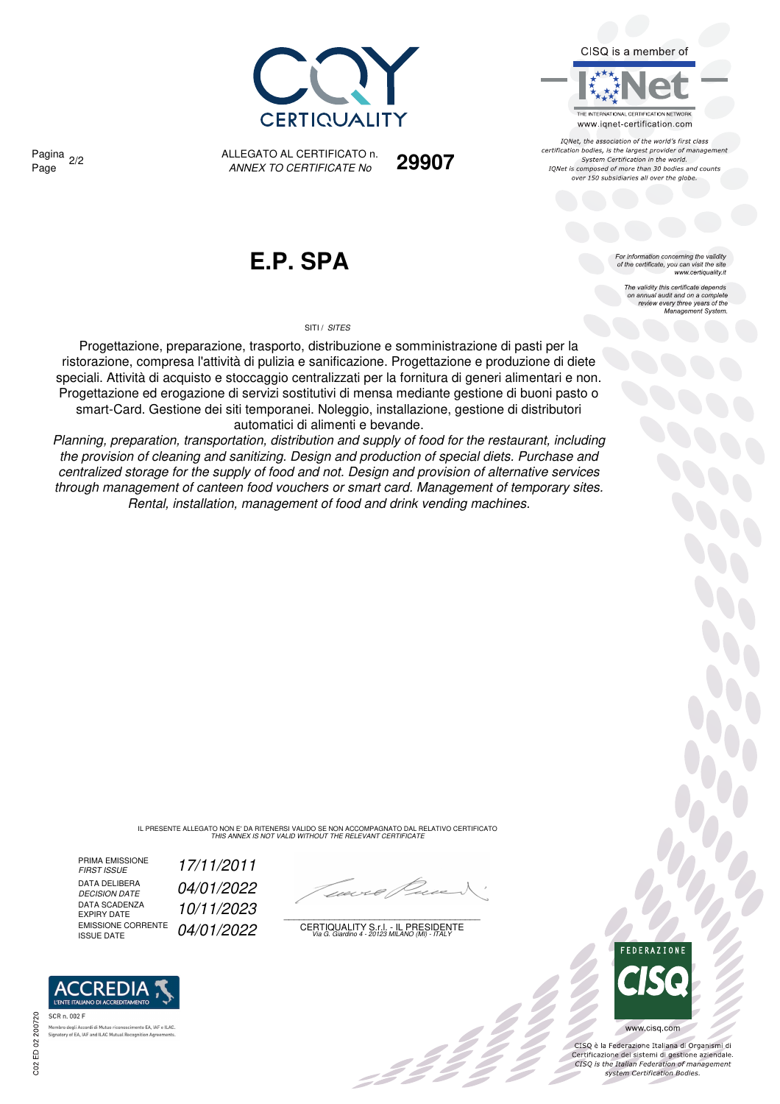



IONet, the association of the world's first class certification bodies, is the largest provider of management System Certification in the world. IQNet is composed of more than 30 bodies and counts over 150 subsidiaries all over the globe.

> For information concerning the validity<br>of the certificate, you can visit the site<br>www.certiquality.it The validity this certificate depends on annual audit and on a complete review every three years of the Management System.

**CERTIQUALIT** 

Pagina <sub>2/2</sub>

ALLEGATO AL CERTIFICATO n. ANNEX TO CERTIFICATE No Page 2/2 **29907**

# **E.P. SPA**

#### SITI / SITES

Progettazione, preparazione, trasporto, distribuzione e somministrazione di pasti per la ristorazione, compresa l'attività di pulizia e sanificazione. Progettazione e produzione di diete speciali. Attività di acquisto e stoccaggio centralizzati per la fornitura di generi alimentari e non. Progettazione ed erogazione di servizi sostitutivi di mensa mediante gestione di buoni pasto o smart-Card. Gestione dei siti temporanei. Noleggio, installazione, gestione di distributori automatici di alimenti e bevande.

Planning, preparation, transportation, distribution and supply of food for the restaurant, including the provision of cleaning and sanitizing. Design and production of special diets. Purchase and centralized storage for the supply of food and not. Design and provision of alternative services through management of canteen food vouchers or smart card. Management of temporary sites. Rental, installation, management of food and drink vending machines.

IL PRESENTE ALLEGATO NON E' DA RITENERSI VALIDO SE NON ACCOMPAGNATO DAL RELATIVO CERTIFICATO<br>*THIS ANNEX IS NOT VALID WITHOUT THE RELEVANT CERTIFICATE* 

PRIMA EMISSIONE<br>FIRST ISSUE DATA DELIBERA<br>DECISION DATE DATA SCADENZA<br>EXPIRY DATE DATA SCADENZA<br>
EXPIRY DATE  $10/11/2023$ <br>
EMISSIONE CORRENTE  $0.4/0.1/2022$ 

FIRST ISSUE 17/11/2011 04/01/2022

-22<br>-22

EMISSIONE CORRENTE  $\,\,\rm 04/01/2022\qquad \qquad \, \, \rm CERTIQUALITY \, S.r.l.$  - IL PRESIDENTE<br>ISSUE DATE



 $\frac{1}{2}$ 

CISQ è la Federazione Italiana di Organismi di Certificazione dei sistemi di gestione aziendale.<br>CISQ is the Italian Federation of management system Certification Bodies.



ento EA, IAF e ILAC Membro degli Accordi di Mutuo riconoscimento EA, IAF<br>Signatory of EA, IAF and ILAC Mutual Recognition Agree

C02 ED 02 200720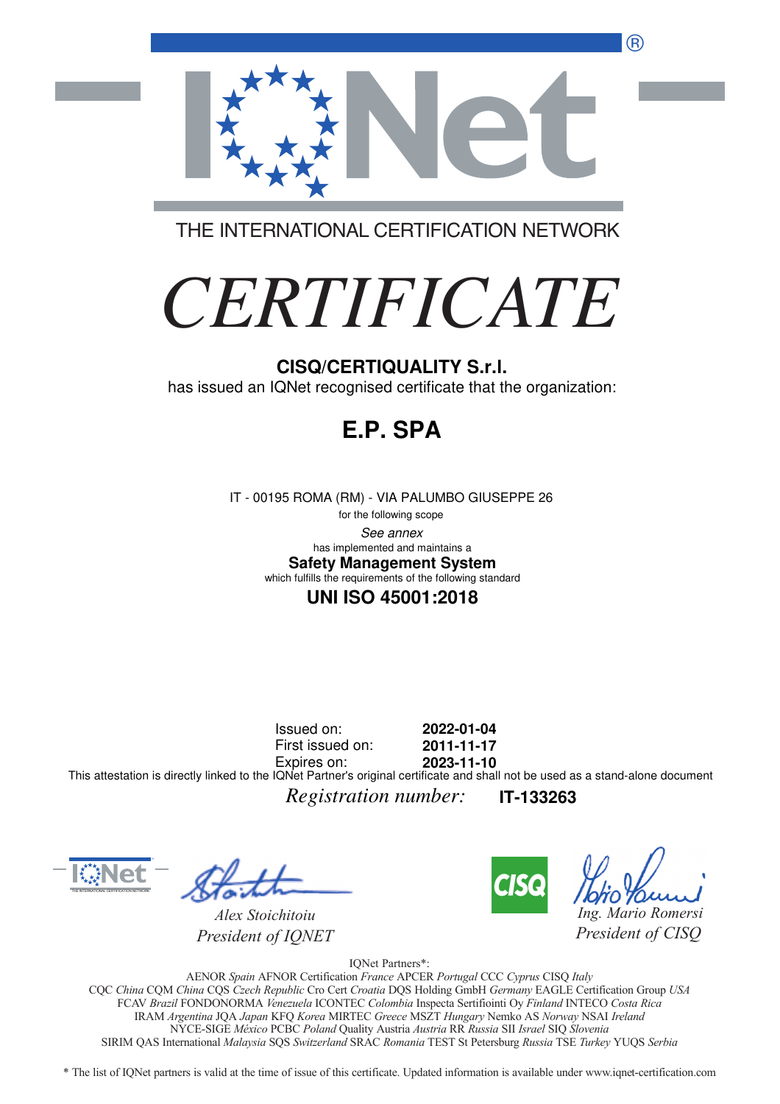®



THE INTERNATIONAL CERTIFICATION NETWORK

# *CERTIFICATE*

#### **CISQ/CERTIQUALITY S.r.l.**

has issued an IQNet recognised certificate that the organization:

# **E.P. SPA**

IT - 00195 ROMA (RM) - VIA PALUMBO GIUSEPPE 26

for the following scope See annex **Safety Management System** has implemented and maintains a which fulfills the requirements of the following standard

#### **UNI ISO 45001:2018**

Issued on: First issued on: Expires on: **2022-01-04 2011-11-17 2023-11-10** This attestation is directly linked to the IQNet Partner's original certificate and shall not be used as a stand-alone document

*Registration number:* **IT-133263**



*Alex Stoichitoiu President of IQNET*



*Ing. Mario Romersi*

*President of CISQ* 

IQNet Partners\*:

AENOR *Spain* AFNOR Certification *France* APCER *Portugal* CCC *Cyprus* CISQ *Italy* CQC *China* CQM *China* CQS *Czech Republic* Cro Cert *Croatia* DQS Holding GmbH *Germany* EAGLE Certification Group *USA* FCAV *Brazil* FONDONORMA *Venezuela* ICONTEC *Colombia* Inspecta Sertifiointi Oy *Finland* INTECO *Costa Rica* IRAM *Argentina* JQA *Japan* KFQ *Korea* MIRTEC *Greece* MSZT *Hungary* Nemko AS *Norway* NSAI *Ireland* NYCE-SIGE *México* PCBC *Poland* Quality Austria *Austria* RR *Russia* SII *Israel* SIQ *Slovenia* SIRIM QAS International *Malaysia* SQS *Switzerland* SRAC *Romania* TEST St Petersburg *Russia* TSE *Turkey* YUQS *Serbia*

\* The list of IQNet partners is valid at the time of issue of this certificate. Updated information is available under www.iqnet-certification.com